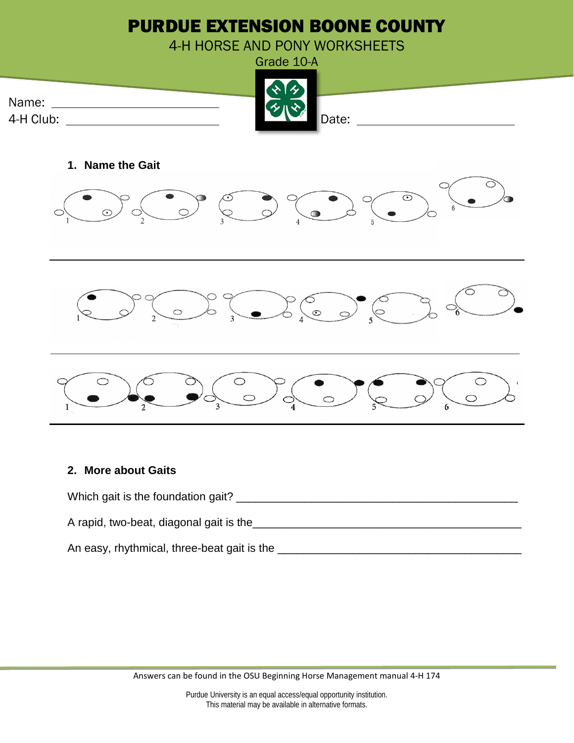

## **2. More about Gaits**



Answers can be found in the OSU Beginning Horse Management manual 4-H 174